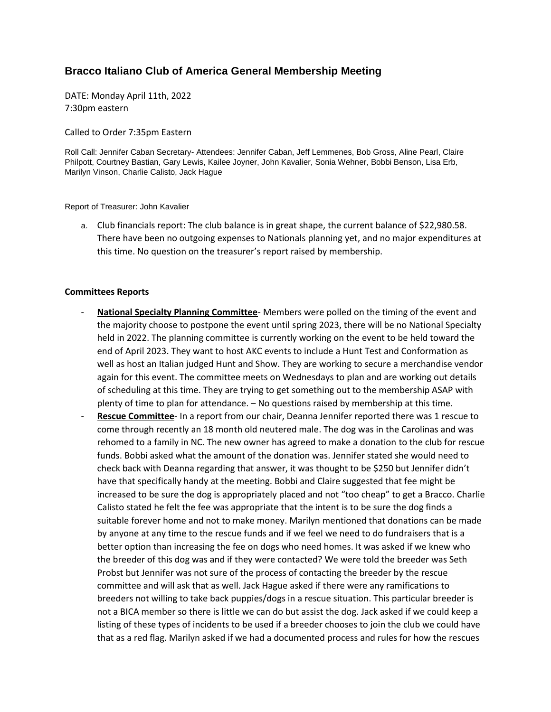## **Bracco Italiano Club of America General Membership Meeting**

DATE: Monday April 11th, 2022 7:30pm eastern

Called to Order 7:35pm Eastern

Roll Call: Jennifer Caban Secretary- Attendees: Jennifer Caban, Jeff Lemmenes, Bob Gross, Aline Pearl, Claire Philpott, Courtney Bastian, Gary Lewis, Kailee Joyner, John Kavalier, Sonia Wehner, Bobbi Benson, Lisa Erb, Marilyn Vinson, Charlie Calisto, Jack Hague

Report of Treasurer: John Kavalier

a. Club financials report: The club balance is in great shape, the current balance of \$22,980.58. There have been no outgoing expenses to Nationals planning yet, and no major expenditures at this time. No question on the treasurer's report raised by membership.

## **Committees Reports**

- **National Specialty Planning Committee** Members were polled on the timing of the event and the majority choose to postpone the event until spring 2023, there will be no National Specialty held in 2022. The planning committee is currently working on the event to be held toward the end of April 2023. They want to host AKC events to include a Hunt Test and Conformation as well as host an Italian judged Hunt and Show. They are working to secure a merchandise vendor again for this event. The committee meets on Wednesdays to plan and are working out details of scheduling at this time. They are trying to get something out to the membership ASAP with plenty of time to plan for attendance. – No questions raised by membership at this time.
- **Rescue Committee** In a report from our chair, Deanna Jennifer reported there was 1 rescue to come through recently an 18 month old neutered male. The dog was in the Carolinas and was rehomed to a family in NC. The new owner has agreed to make a donation to the club for rescue funds. Bobbi asked what the amount of the donation was. Jennifer stated she would need to check back with Deanna regarding that answer, it was thought to be \$250 but Jennifer didn't have that specifically handy at the meeting. Bobbi and Claire suggested that fee might be increased to be sure the dog is appropriately placed and not "too cheap" to get a Bracco. Charlie Calisto stated he felt the fee was appropriate that the intent is to be sure the dog finds a suitable forever home and not to make money. Marilyn mentioned that donations can be made by anyone at any time to the rescue funds and if we feel we need to do fundraisers that is a better option than increasing the fee on dogs who need homes. It was asked if we knew who the breeder of this dog was and if they were contacted? We were told the breeder was Seth Probst but Jennifer was not sure of the process of contacting the breeder by the rescue committee and will ask that as well. Jack Hague asked if there were any ramifications to breeders not willing to take back puppies/dogs in a rescue situation. This particular breeder is not a BICA member so there is little we can do but assist the dog. Jack asked if we could keep a listing of these types of incidents to be used if a breeder chooses to join the club we could have that as a red flag. Marilyn asked if we had a documented process and rules for how the rescues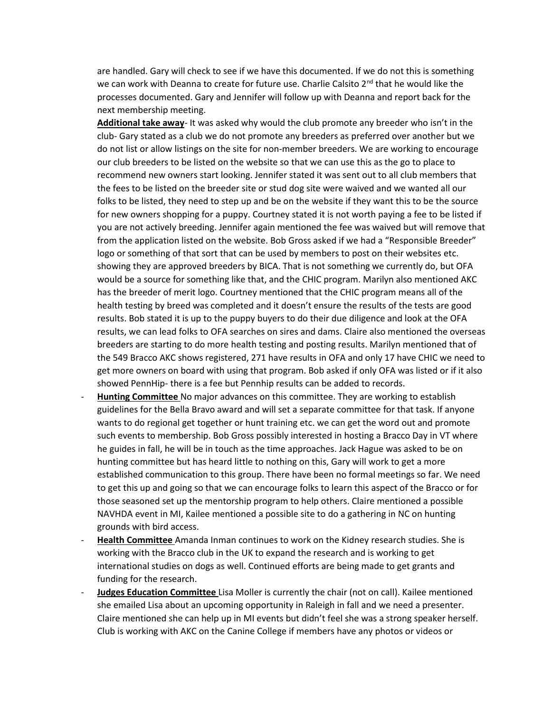are handled. Gary will check to see if we have this documented. If we do not this is something we can work with Deanna to create for future use. Charlie Calsito 2<sup>nd</sup> that he would like the processes documented. Gary and Jennifer will follow up with Deanna and report back for the next membership meeting.

**Additional take away**- It was asked why would the club promote any breeder who isn't in the club- Gary stated as a club we do not promote any breeders as preferred over another but we do not list or allow listings on the site for non-member breeders. We are working to encourage our club breeders to be listed on the website so that we can use this as the go to place to recommend new owners start looking. Jennifer stated it was sent out to all club members that the fees to be listed on the breeder site or stud dog site were waived and we wanted all our folks to be listed, they need to step up and be on the website if they want this to be the source for new owners shopping for a puppy. Courtney stated it is not worth paying a fee to be listed if you are not actively breeding. Jennifer again mentioned the fee was waived but will remove that from the application listed on the website. Bob Gross asked if we had a "Responsible Breeder" logo or something of that sort that can be used by members to post on their websites etc. showing they are approved breeders by BICA. That is not something we currently do, but OFA would be a source for something like that, and the CHIC program. Marilyn also mentioned AKC has the breeder of merit logo. Courtney mentioned that the CHIC program means all of the health testing by breed was completed and it doesn't ensure the results of the tests are good results. Bob stated it is up to the puppy buyers to do their due diligence and look at the OFA results, we can lead folks to OFA searches on sires and dams. Claire also mentioned the overseas breeders are starting to do more health testing and posting results. Marilyn mentioned that of the 549 Bracco AKC shows registered, 271 have results in OFA and only 17 have CHIC we need to get more owners on board with using that program. Bob asked if only OFA was listed or if it also showed PennHip- there is a fee but Pennhip results can be added to records.

- **Hunting Committee** No major advances on this committee. They are working to establish guidelines for the Bella Bravo award and will set a separate committee for that task. If anyone wants to do regional get together or hunt training etc. we can get the word out and promote such events to membership. Bob Gross possibly interested in hosting a Bracco Day in VT where he guides in fall, he will be in touch as the time approaches. Jack Hague was asked to be on hunting committee but has heard little to nothing on this, Gary will work to get a more established communication to this group. There have been no formal meetings so far. We need to get this up and going so that we can encourage folks to learn this aspect of the Bracco or for those seasoned set up the mentorship program to help others. Claire mentioned a possible NAVHDA event in MI, Kailee mentioned a possible site to do a gathering in NC on hunting grounds with bird access.
- **Health Committee** Amanda Inman continues to work on the Kidney research studies. She is working with the Bracco club in the UK to expand the research and is working to get international studies on dogs as well. Continued efforts are being made to get grants and funding for the research.
- **Judges Education Committee** Lisa Moller is currently the chair (not on call). Kailee mentioned she emailed Lisa about an upcoming opportunity in Raleigh in fall and we need a presenter. Claire mentioned she can help up in MI events but didn't feel she was a strong speaker herself. Club is working with AKC on the Canine College if members have any photos or videos or